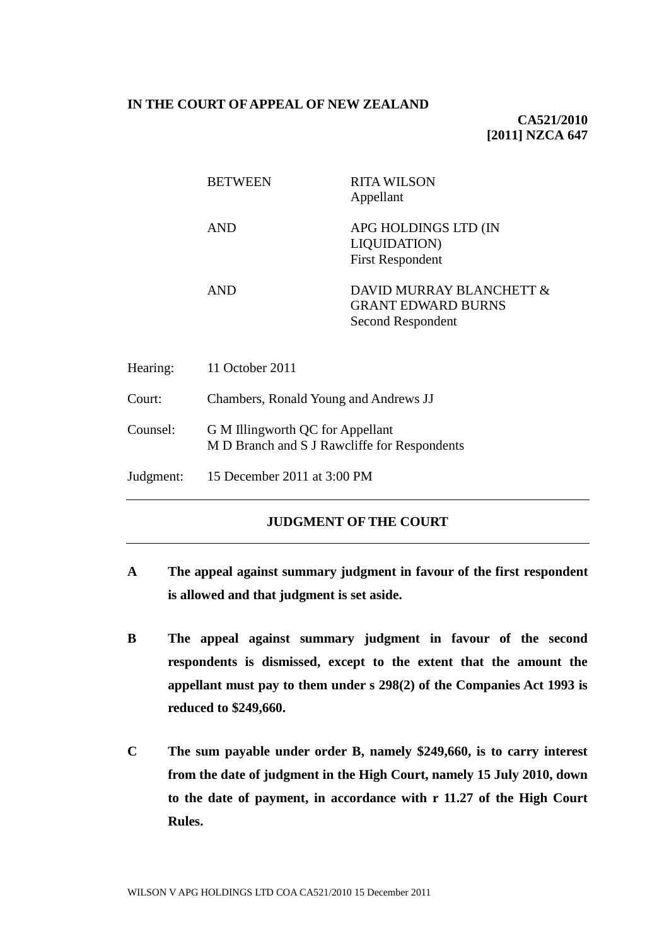## **IN THE COURT OF APPEAL OF NEW ZEALAND**

# **CA521/2010 [2011] NZCA 647**

|           | <b>BETWEEN</b>                                                                   | <b>RITA WILSON</b><br>Appellant                                            |
|-----------|----------------------------------------------------------------------------------|----------------------------------------------------------------------------|
|           | <b>AND</b>                                                                       | APG HOLDINGS LTD (IN<br><b>LIQUIDATION)</b><br><b>First Respondent</b>     |
|           | <b>AND</b>                                                                       | DAVID MURRAY BLANCHETT &<br><b>GRANT EDWARD BURNS</b><br>Second Respondent |
| Hearing:  | 11 October 2011                                                                  |                                                                            |
| Court:    | Chambers, Ronald Young and Andrews JJ                                            |                                                                            |
| Counsel:  | G M Illingworth QC for Appellant<br>M D Branch and S J Rawcliffe for Respondents |                                                                            |
| Judgment: | 15 December 2011 at 3:00 PM                                                      |                                                                            |

# **JUDGMENT OF THE COURT**

- **A The appeal against summary judgment in favour of the first respondent is allowed and that judgment is set aside.**
- **B The appeal against summary judgment in favour of the second respondents is dismissed, except to the extent that the amount the appellant must pay to them under s 298(2) of the Companies Act 1993 is reduced to \$249,660.**
- **C The sum payable under order B, namely \$249,660, is to carry interest from the date of judgment in the High Court, namely 15 July 2010, down to the date of payment, in accordance with r 11.27 of the High Court Rules.**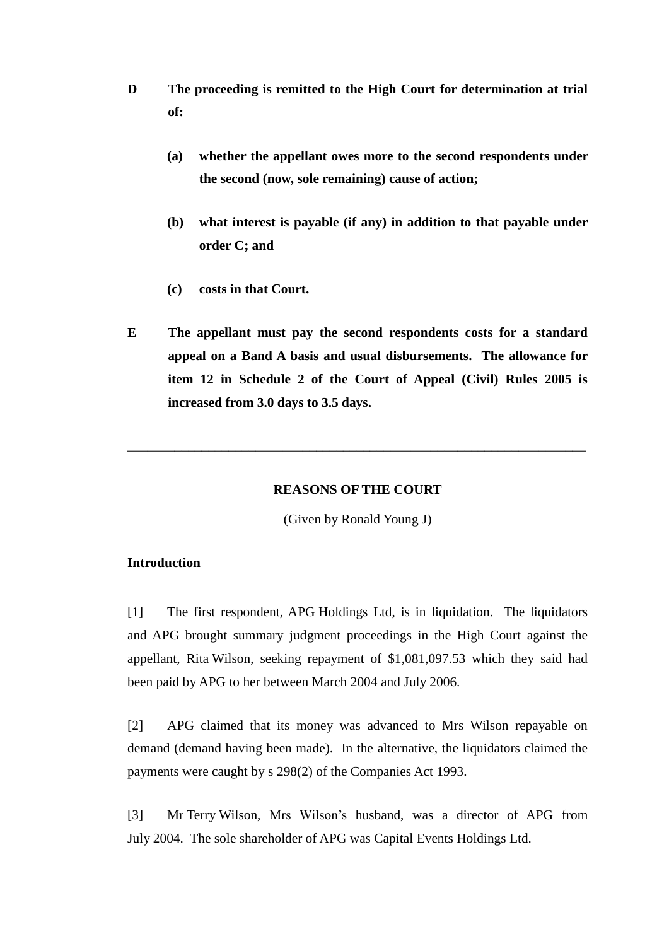- **D The proceeding is remitted to the High Court for determination at trial of:**
	- **(a) whether the appellant owes more to the second respondents under the second (now, sole remaining) cause of action;**
	- **(b) what interest is payable (if any) in addition to that payable under order C; and**
	- **(c) costs in that Court.**
- **E The appellant must pay the second respondents costs for a standard appeal on a Band A basis and usual disbursements. The allowance for item 12 in Schedule 2 of the Court of Appeal (Civil) Rules 2005 is increased from 3.0 days to 3.5 days.**

### **REASONS OF THE COURT**

\_\_\_\_\_\_\_\_\_\_\_\_\_\_\_\_\_\_\_\_\_\_\_\_\_\_\_\_\_\_\_\_\_\_\_\_\_\_\_\_\_\_\_\_\_\_\_\_\_\_\_\_\_\_\_\_\_\_\_\_\_\_\_\_\_\_\_\_

(Given by Ronald Young J)

# **Introduction**

[1] The first respondent, APG Holdings Ltd, is in liquidation. The liquidators and APG brought summary judgment proceedings in the High Court against the appellant, Rita Wilson, seeking repayment of \$1,081,097.53 which they said had been paid by APG to her between March 2004 and July 2006.

[2] APG claimed that its money was advanced to Mrs Wilson repayable on demand (demand having been made). In the alternative, the liquidators claimed the payments were caught by s 298(2) of the Companies Act 1993.

[3] Mr Terry Wilson, Mrs Wilson's husband, was a director of APG from July 2004. The sole shareholder of APG was Capital Events Holdings Ltd.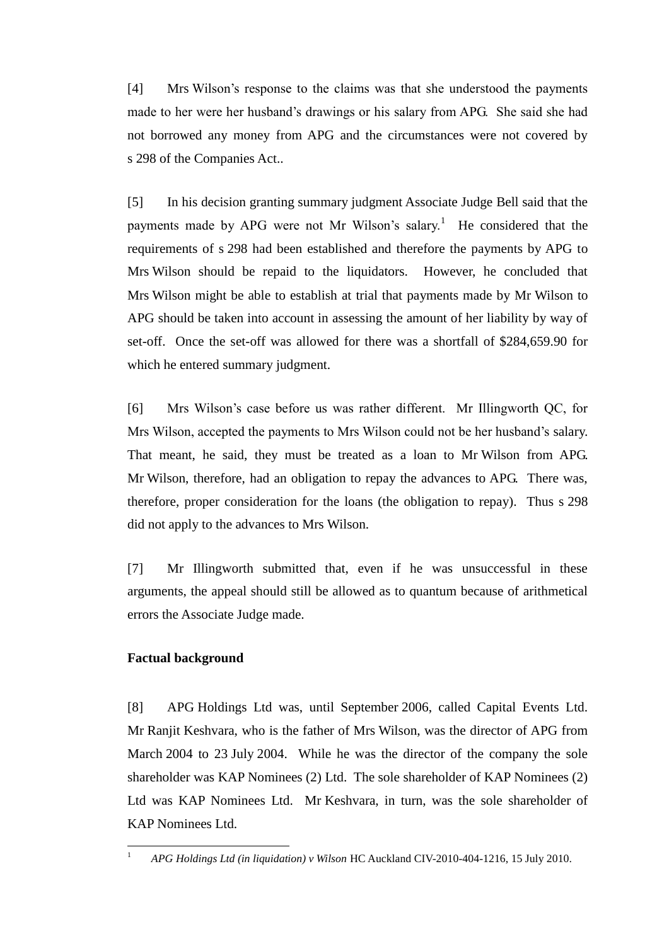[4] Mrs Wilson's response to the claims was that she understood the payments made to her were her husband's drawings or his salary from APG. She said she had not borrowed any money from APG and the circumstances were not covered by s 298 of the Companies Act..

[5] In his decision granting summary judgment Associate Judge Bell said that the payments made by APG were not Mr Wilson's salary.<sup>1</sup> He considered that the requirements of s 298 had been established and therefore the payments by APG to Mrs Wilson should be repaid to the liquidators. However, he concluded that Mrs Wilson might be able to establish at trial that payments made by Mr Wilson to APG should be taken into account in assessing the amount of her liability by way of set-off. Once the set-off was allowed for there was a shortfall of \$284,659.90 for which he entered summary judgment.

[6] Mrs Wilson's case before us was rather different. Mr Illingworth QC, for Mrs Wilson, accepted the payments to Mrs Wilson could not be her husband's salary. That meant, he said, they must be treated as a loan to Mr Wilson from APG. Mr Wilson, therefore, had an obligation to repay the advances to APG. There was, therefore, proper consideration for the loans (the obligation to repay). Thus s 298 did not apply to the advances to Mrs Wilson.

[7] Mr Illingworth submitted that, even if he was unsuccessful in these arguments, the appeal should still be allowed as to quantum because of arithmetical errors the Associate Judge made.

# **Factual background**

[8] APG Holdings Ltd was, until September 2006, called Capital Events Ltd. Mr Ranjit Keshvara, who is the father of Mrs Wilson, was the director of APG from March 2004 to 23 July 2004. While he was the director of the company the sole shareholder was KAP Nominees (2) Ltd. The sole shareholder of KAP Nominees (2) Ltd was KAP Nominees Ltd. Mr Keshvara, in turn, was the sole shareholder of KAP Nominees Ltd.

 $\mathbf{1}$ <sup>1</sup> *APG Holdings Ltd (in liquidation) v Wilson* HC Auckland CIV-2010-404-1216, 15 July 2010.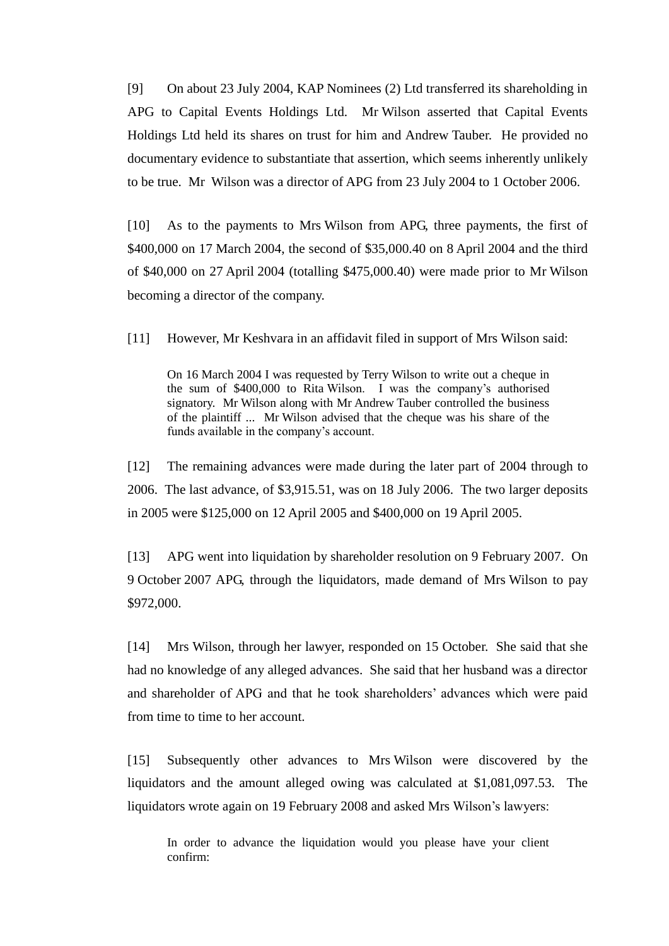[9] On about 23 July 2004, KAP Nominees (2) Ltd transferred its shareholding in APG to Capital Events Holdings Ltd. Mr Wilson asserted that Capital Events Holdings Ltd held its shares on trust for him and Andrew Tauber. He provided no documentary evidence to substantiate that assertion, which seems inherently unlikely to be true. Mr Wilson was a director of APG from 23 July 2004 to 1 October 2006.

[10] As to the payments to Mrs Wilson from APG, three payments, the first of \$400,000 on 17 March 2004, the second of \$35,000.40 on 8 April 2004 and the third of \$40,000 on 27 April 2004 (totalling \$475,000.40) were made prior to Mr Wilson becoming a director of the company.

[11] However, Mr Keshvara in an affidavit filed in support of Mrs Wilson said:

On 16 March 2004 I was requested by Terry Wilson to write out a cheque in the sum of \$400,000 to Rita Wilson. I was the company's authorised signatory. Mr Wilson along with Mr Andrew Tauber controlled the business of the plaintiff ... Mr Wilson advised that the cheque was his share of the funds available in the company's account.

[12] The remaining advances were made during the later part of 2004 through to 2006. The last advance, of \$3,915.51, was on 18 July 2006. The two larger deposits in 2005 were \$125,000 on 12 April 2005 and \$400,000 on 19 April 2005.

[13] APG went into liquidation by shareholder resolution on 9 February 2007. On 9 October 2007 APG, through the liquidators, made demand of Mrs Wilson to pay \$972,000.

[14] Mrs Wilson, through her lawyer, responded on 15 October. She said that she had no knowledge of any alleged advances. She said that her husband was a director and shareholder of APG and that he took shareholders' advances which were paid from time to time to her account.

[15] Subsequently other advances to Mrs Wilson were discovered by the liquidators and the amount alleged owing was calculated at \$1,081,097.53. The liquidators wrote again on 19 February 2008 and asked Mrs Wilson's lawyers:

In order to advance the liquidation would you please have your client confirm: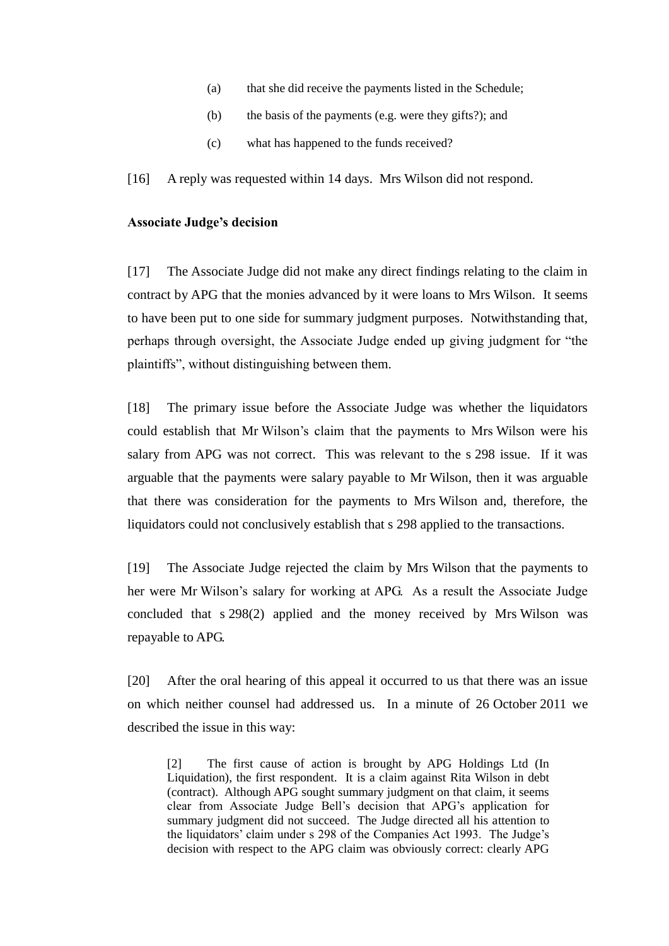- (a) that she did receive the payments listed in the Schedule;
- (b) the basis of the payments (e.g. were they gifts?); and
- (c) what has happened to the funds received?

[16] A reply was requested within 14 days. Mrs Wilson did not respond.

### **Associate Judge's decision**

[17] The Associate Judge did not make any direct findings relating to the claim in contract by APG that the monies advanced by it were loans to Mrs Wilson. It seems to have been put to one side for summary judgment purposes. Notwithstanding that, perhaps through oversight, the Associate Judge ended up giving judgment for "the plaintiffs", without distinguishing between them.

[18] The primary issue before the Associate Judge was whether the liquidators could establish that Mr Wilson's claim that the payments to Mrs Wilson were his salary from APG was not correct. This was relevant to the s 298 issue. If it was arguable that the payments were salary payable to Mr Wilson, then it was arguable that there was consideration for the payments to Mrs Wilson and, therefore, the liquidators could not conclusively establish that s 298 applied to the transactions.

[19] The Associate Judge rejected the claim by Mrs Wilson that the payments to her were Mr Wilson's salary for working at APG. As a result the Associate Judge concluded that s 298(2) applied and the money received by Mrs Wilson was repayable to APG.

[20] After the oral hearing of this appeal it occurred to us that there was an issue on which neither counsel had addressed us. In a minute of 26 October 2011 we described the issue in this way:

[2] The first cause of action is brought by APG Holdings Ltd (In Liquidation), the first respondent. It is a claim against Rita Wilson in debt (contract). Although APG sought summary judgment on that claim, it seems clear from Associate Judge Bell's decision that APG's application for summary judgment did not succeed. The Judge directed all his attention to the liquidators' claim under s 298 of the Companies Act 1993. The Judge's decision with respect to the APG claim was obviously correct: clearly APG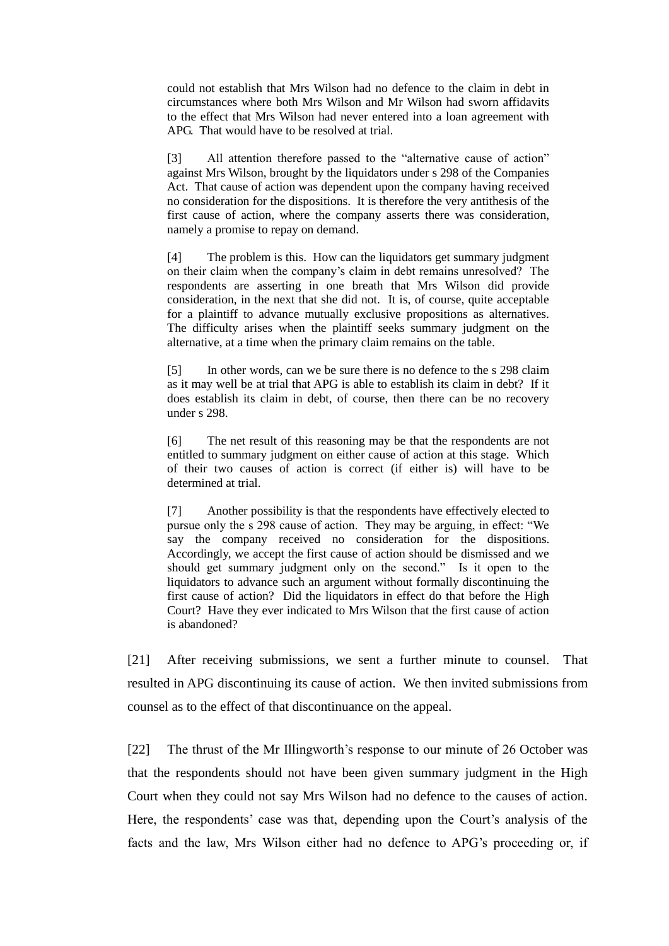could not establish that Mrs Wilson had no defence to the claim in debt in circumstances where both Mrs Wilson and Mr Wilson had sworn affidavits to the effect that Mrs Wilson had never entered into a loan agreement with APG. That would have to be resolved at trial.

[3] All attention therefore passed to the "alternative cause of action" against Mrs Wilson, brought by the liquidators under s 298 of the Companies Act. That cause of action was dependent upon the company having received no consideration for the dispositions. It is therefore the very antithesis of the first cause of action, where the company asserts there was consideration, namely a promise to repay on demand.

[4] The problem is this. How can the liquidators get summary judgment on their claim when the company's claim in debt remains unresolved? The respondents are asserting in one breath that Mrs Wilson did provide consideration, in the next that she did not. It is, of course, quite acceptable for a plaintiff to advance mutually exclusive propositions as alternatives. The difficulty arises when the plaintiff seeks summary judgment on the alternative, at a time when the primary claim remains on the table.

[5] In other words, can we be sure there is no defence to the s 298 claim as it may well be at trial that APG is able to establish its claim in debt? If it does establish its claim in debt, of course, then there can be no recovery under s 298.

[6] The net result of this reasoning may be that the respondents are not entitled to summary judgment on either cause of action at this stage. Which of their two causes of action is correct (if either is) will have to be determined at trial.

[7] Another possibility is that the respondents have effectively elected to pursue only the s 298 cause of action. They may be arguing, in effect: "We say the company received no consideration for the dispositions. Accordingly, we accept the first cause of action should be dismissed and we should get summary judgment only on the second." Is it open to the liquidators to advance such an argument without formally discontinuing the first cause of action? Did the liquidators in effect do that before the High Court? Have they ever indicated to Mrs Wilson that the first cause of action is abandoned?

[21] After receiving submissions, we sent a further minute to counsel. That resulted in APG discontinuing its cause of action. We then invited submissions from counsel as to the effect of that discontinuance on the appeal.

[22] The thrust of the Mr Illingworth's response to our minute of 26 October was that the respondents should not have been given summary judgment in the High Court when they could not say Mrs Wilson had no defence to the causes of action. Here, the respondents' case was that, depending upon the Court's analysis of the facts and the law, Mrs Wilson either had no defence to APG's proceeding or, if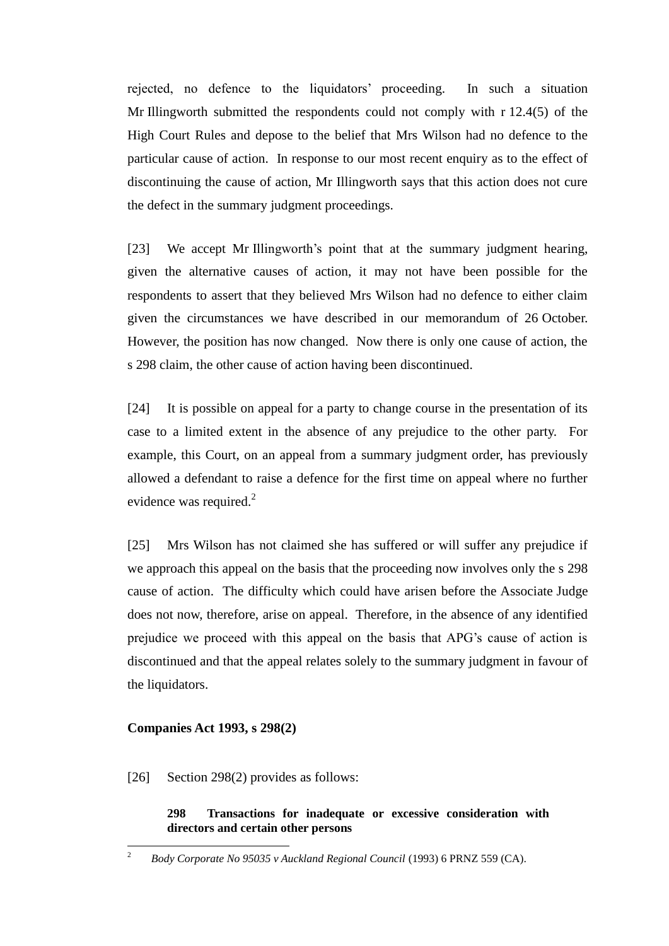rejected, no defence to the liquidators' proceeding. In such a situation Mr Illingworth submitted the respondents could not comply with r 12.4(5) of the High Court Rules and depose to the belief that Mrs Wilson had no defence to the particular cause of action. In response to our most recent enquiry as to the effect of discontinuing the cause of action, Mr Illingworth says that this action does not cure the defect in the summary judgment proceedings.

[23] We accept Mr Illingworth's point that at the summary judgment hearing, given the alternative causes of action, it may not have been possible for the respondents to assert that they believed Mrs Wilson had no defence to either claim given the circumstances we have described in our memorandum of 26 October. However, the position has now changed. Now there is only one cause of action, the s 298 claim, the other cause of action having been discontinued.

[24] It is possible on appeal for a party to change course in the presentation of its case to a limited extent in the absence of any prejudice to the other party. For example, this Court, on an appeal from a summary judgment order, has previously allowed a defendant to raise a defence for the first time on appeal where no further evidence was required. $^{2}$ 

[25] Mrs Wilson has not claimed she has suffered or will suffer any prejudice if we approach this appeal on the basis that the proceeding now involves only the s 298 cause of action. The difficulty which could have arisen before the Associate Judge does not now, therefore, arise on appeal. Therefore, in the absence of any identified prejudice we proceed with this appeal on the basis that APG's cause of action is discontinued and that the appeal relates solely to the summary judgment in favour of the liquidators.

### **Companies Act 1993, s 298(2)**

[26] Section 298(2) provides as follows:

## **298 Transactions for inadequate or excessive consideration with directors and certain other persons**

 $\overline{c}$ <sup>2</sup> *Body Corporate No 95035 v Auckland Regional Council* (1993) 6 PRNZ 559 (CA).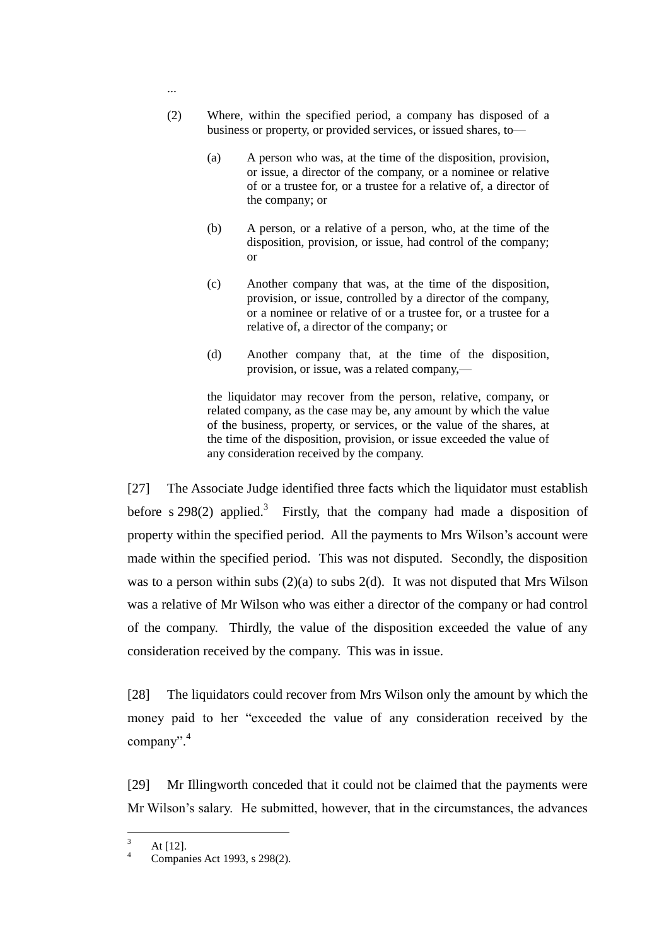- (2) Where, within the specified period, a company has disposed of a business or property, or provided services, or issued shares, to—
	- (a) A person who was, at the time of the disposition, provision, or issue, a director of the company, or a nominee or relative of or a trustee for, or a trustee for a relative of, a director of the company; or
	- (b) A person, or a relative of a person, who, at the time of the disposition, provision, or issue, had control of the company; or
	- (c) Another company that was, at the time of the disposition, provision, or issue, controlled by a director of the company, or a nominee or relative of or a trustee for, or a trustee for a relative of, a director of the company; or
	- (d) Another company that, at the time of the disposition, provision, or issue, was a related company,—

the liquidator may recover from the person, relative, company, or related company, as the case may be, any amount by which the value of the business, property, or services, or the value of the shares, at the time of the disposition, provision, or issue exceeded the value of any consideration received by the company.

[27] The Associate Judge identified three facts which the liquidator must establish before s  $298(2)$  applied.<sup>3</sup> Firstly, that the company had made a disposition of property within the specified period. All the payments to Mrs Wilson's account were made within the specified period. This was not disputed. Secondly, the disposition was to a person within subs  $(2)(a)$  to subs  $2(d)$ . It was not disputed that Mrs Wilson was a relative of Mr Wilson who was either a director of the company or had control of the company. Thirdly, the value of the disposition exceeded the value of any consideration received by the company. This was in issue.

[28] The liquidators could recover from Mrs Wilson only the amount by which the money paid to her "exceeded the value of any consideration received by the company".<sup>4</sup>

[29] Mr Illingworth conceded that it could not be claimed that the payments were Mr Wilson's salary. He submitted, however, that in the circumstances, the advances

...

 $\overline{\mathbf{3}}$  $\frac{3}{4}$  At [12].

Companies Act 1993, s 298(2).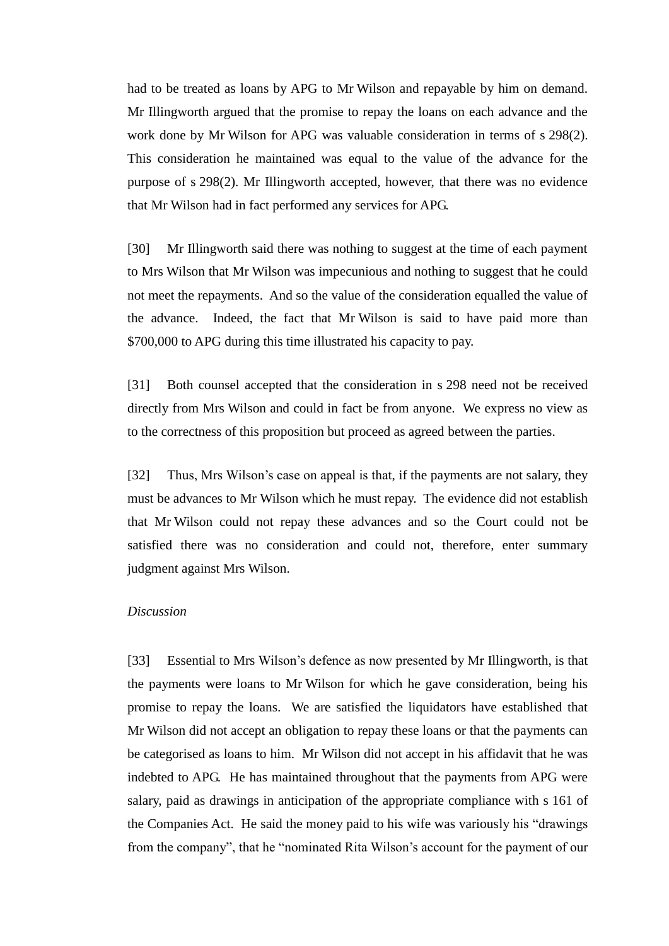had to be treated as loans by APG to Mr Wilson and repayable by him on demand. Mr Illingworth argued that the promise to repay the loans on each advance and the work done by Mr Wilson for APG was valuable consideration in terms of s 298(2). This consideration he maintained was equal to the value of the advance for the purpose of s 298(2). Mr Illingworth accepted, however, that there was no evidence that Mr Wilson had in fact performed any services for APG.

[30] Mr Illingworth said there was nothing to suggest at the time of each payment to Mrs Wilson that Mr Wilson was impecunious and nothing to suggest that he could not meet the repayments. And so the value of the consideration equalled the value of the advance. Indeed, the fact that Mr Wilson is said to have paid more than \$700,000 to APG during this time illustrated his capacity to pay.

[31] Both counsel accepted that the consideration in s 298 need not be received directly from Mrs Wilson and could in fact be from anyone. We express no view as to the correctness of this proposition but proceed as agreed between the parties.

[32] Thus, Mrs Wilson's case on appeal is that, if the payments are not salary, they must be advances to Mr Wilson which he must repay. The evidence did not establish that Mr Wilson could not repay these advances and so the Court could not be satisfied there was no consideration and could not, therefore, enter summary judgment against Mrs Wilson.

### *Discussion*

[33] Essential to Mrs Wilson's defence as now presented by Mr Illingworth, is that the payments were loans to Mr Wilson for which he gave consideration, being his promise to repay the loans. We are satisfied the liquidators have established that Mr Wilson did not accept an obligation to repay these loans or that the payments can be categorised as loans to him. Mr Wilson did not accept in his affidavit that he was indebted to APG. He has maintained throughout that the payments from APG were salary, paid as drawings in anticipation of the appropriate compliance with s 161 of the Companies Act. He said the money paid to his wife was variously his "drawings" from the company", that he "nominated Rita Wilson's account for the payment of our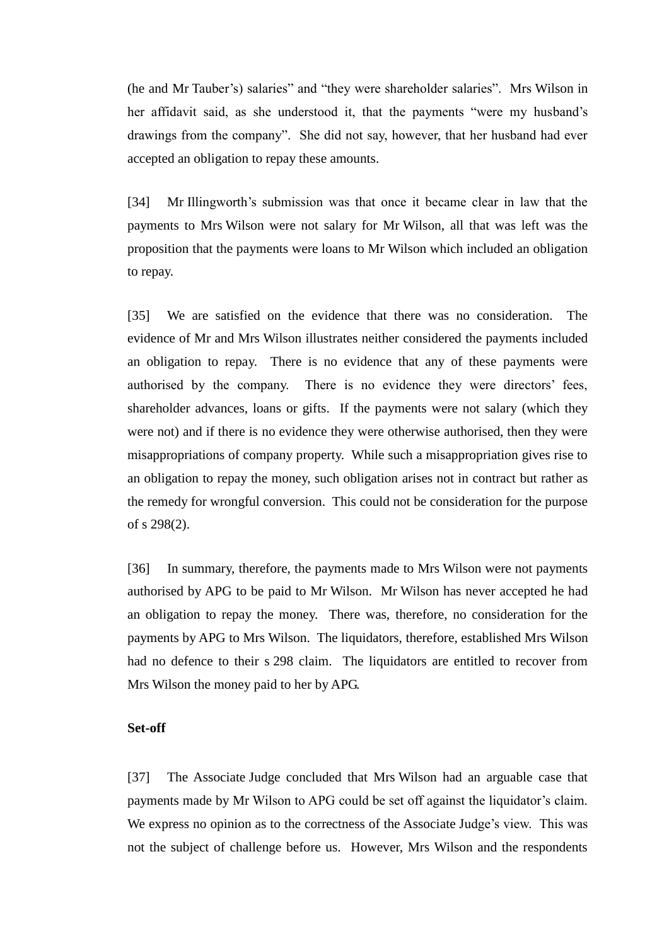(he and Mr Tauber's) salaries" and "they were shareholder salaries". Mrs Wilson in her affidavit said, as she understood it, that the payments "were my husband's drawings from the company". She did not say, however, that her husband had ever accepted an obligation to repay these amounts.

[34] Mr Illingworth's submission was that once it became clear in law that the payments to Mrs Wilson were not salary for Mr Wilson, all that was left was the proposition that the payments were loans to Mr Wilson which included an obligation to repay.

[35] We are satisfied on the evidence that there was no consideration. The evidence of Mr and Mrs Wilson illustrates neither considered the payments included an obligation to repay. There is no evidence that any of these payments were authorised by the company. There is no evidence they were directors' fees, shareholder advances, loans or gifts. If the payments were not salary (which they were not) and if there is no evidence they were otherwise authorised, then they were misappropriations of company property. While such a misappropriation gives rise to an obligation to repay the money, such obligation arises not in contract but rather as the remedy for wrongful conversion. This could not be consideration for the purpose of s 298(2).

[36] In summary, therefore, the payments made to Mrs Wilson were not payments authorised by APG to be paid to Mr Wilson. Mr Wilson has never accepted he had an obligation to repay the money. There was, therefore, no consideration for the payments by APG to Mrs Wilson. The liquidators, therefore, established Mrs Wilson had no defence to their s 298 claim. The liquidators are entitled to recover from Mrs Wilson the money paid to her by APG.

#### **Set-off**

[37] The Associate Judge concluded that Mrs Wilson had an arguable case that payments made by Mr Wilson to APG could be set off against the liquidator's claim. We express no opinion as to the correctness of the Associate Judge's view. This was not the subject of challenge before us. However, Mrs Wilson and the respondents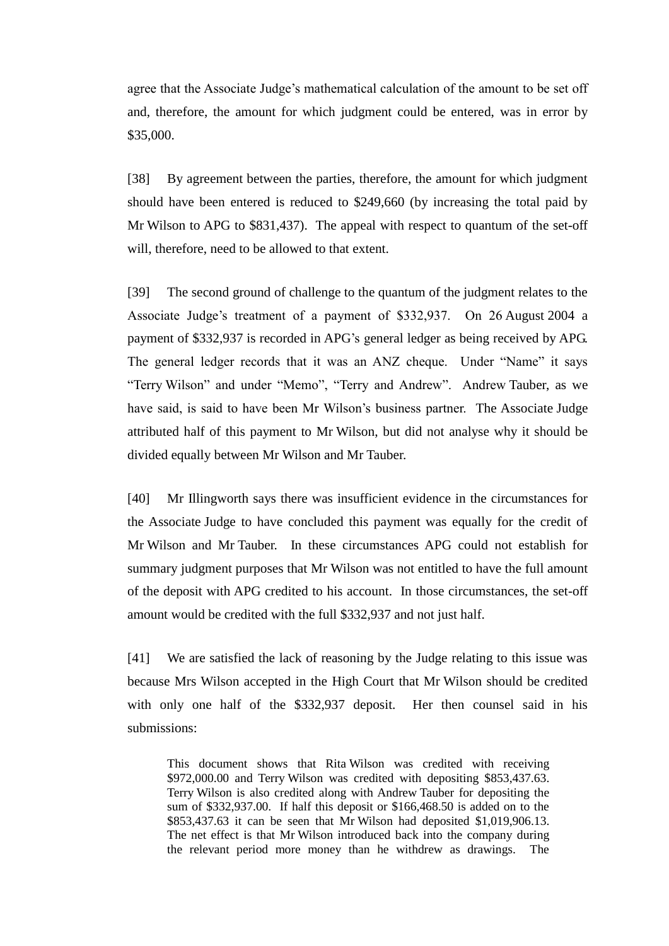agree that the Associate Judge's mathematical calculation of the amount to be set off and, therefore, the amount for which judgment could be entered, was in error by \$35,000.

[38] By agreement between the parties, therefore, the amount for which judgment should have been entered is reduced to \$249,660 (by increasing the total paid by Mr Wilson to APG to \$831,437). The appeal with respect to quantum of the set-off will, therefore, need to be allowed to that extent.

[39] The second ground of challenge to the quantum of the judgment relates to the Associate Judge's treatment of a payment of \$332,937. On 26 August 2004 a payment of \$332,937 is recorded in APG's general ledger as being received by APG. The general ledger records that it was an ANZ cheque. Under "Name" it says "Terry Wilson" and under "Memo", "Terry and Andrew". Andrew Tauber, as we have said, is said to have been Mr Wilson's business partner. The Associate Judge attributed half of this payment to Mr Wilson, but did not analyse why it should be divided equally between Mr Wilson and Mr Tauber.

[40] Mr Illingworth says there was insufficient evidence in the circumstances for the Associate Judge to have concluded this payment was equally for the credit of Mr Wilson and Mr Tauber. In these circumstances APG could not establish for summary judgment purposes that Mr Wilson was not entitled to have the full amount of the deposit with APG credited to his account. In those circumstances, the set-off amount would be credited with the full \$332,937 and not just half.

[41] We are satisfied the lack of reasoning by the Judge relating to this issue was because Mrs Wilson accepted in the High Court that Mr Wilson should be credited with only one half of the \$332,937 deposit. Her then counsel said in his submissions:

This document shows that Rita Wilson was credited with receiving \$972,000.00 and Terry Wilson was credited with depositing \$853,437.63. Terry Wilson is also credited along with Andrew Tauber for depositing the sum of \$332,937.00. If half this deposit or \$166,468.50 is added on to the \$853,437.63 it can be seen that Mr Wilson had deposited \$1,019,906.13. The net effect is that Mr Wilson introduced back into the company during the relevant period more money than he withdrew as drawings. The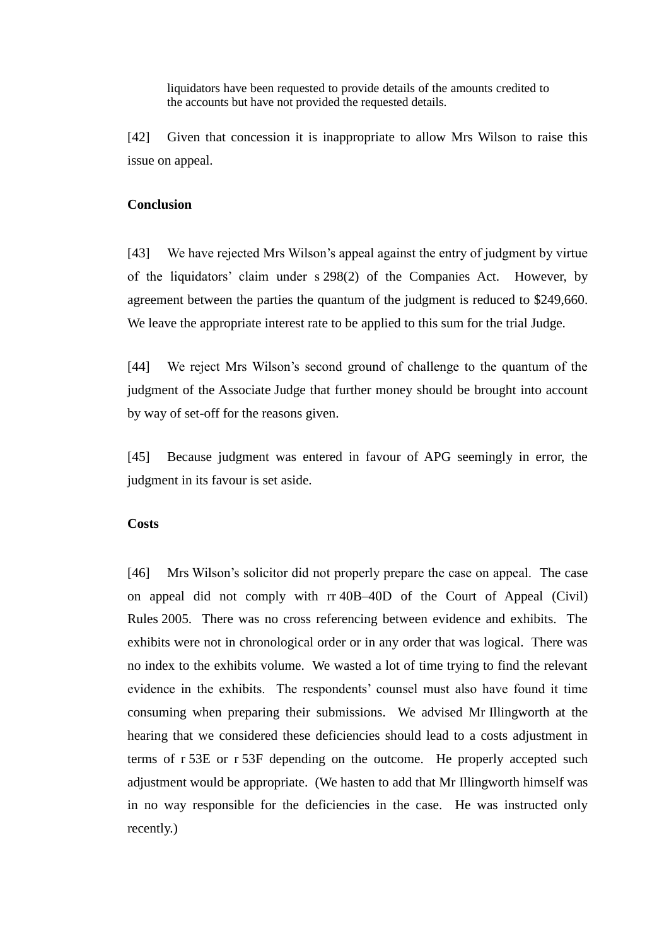liquidators have been requested to provide details of the amounts credited to the accounts but have not provided the requested details.

[42] Given that concession it is inappropriate to allow Mrs Wilson to raise this issue on appeal.

#### **Conclusion**

[43] We have rejected Mrs Wilson's appeal against the entry of judgment by virtue of the liquidators' claim under s 298(2) of the Companies Act. However, by agreement between the parties the quantum of the judgment is reduced to \$249,660. We leave the appropriate interest rate to be applied to this sum for the trial Judge.

[44] We reject Mrs Wilson's second ground of challenge to the quantum of the judgment of the Associate Judge that further money should be brought into account by way of set-off for the reasons given.

[45] Because judgment was entered in favour of APG seemingly in error, the judgment in its favour is set aside.

### **Costs**

[46] Mrs Wilson's solicitor did not properly prepare the case on appeal. The case on appeal did not comply with rr 40B–40D of the Court of Appeal (Civil) Rules 2005. There was no cross referencing between evidence and exhibits. The exhibits were not in chronological order or in any order that was logical. There was no index to the exhibits volume. We wasted a lot of time trying to find the relevant evidence in the exhibits. The respondents' counsel must also have found it time consuming when preparing their submissions. We advised Mr Illingworth at the hearing that we considered these deficiencies should lead to a costs adjustment in terms of r 53E or r 53F depending on the outcome. He properly accepted such adjustment would be appropriate. (We hasten to add that Mr Illingworth himself was in no way responsible for the deficiencies in the case. He was instructed only recently.)